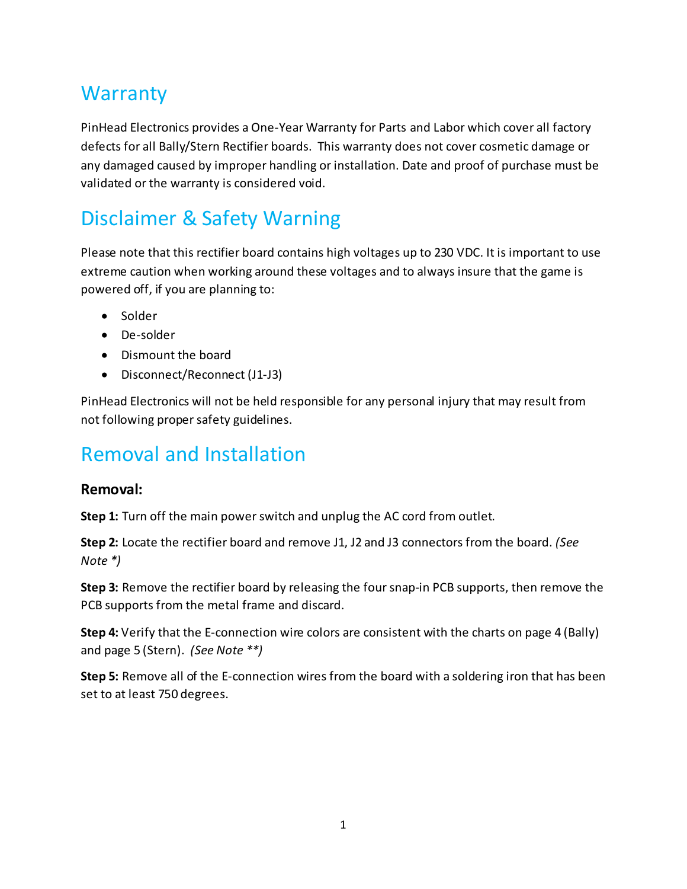#### **Warranty**

PinHead Electronics provides a One-Year Warranty for Parts and Labor which cover all factory defects for all Bally/Stern Rectifier boards. This warranty does not cover cosmetic damage or any damaged caused by improper handling or installation. Date and proof of purchase must be validated or the warranty is considered void.

### Disclaimer & Safety Warning

Please note that this rectifier board contains high voltages up to 230 VDC. It is important to use extreme caution when working around these voltages and to always insure that the game is powered off, if you are planning to:

- Solder
- De-solder
- Dismount the board
- Disconnect/Reconnect (J1-J3)

PinHead Electronics will not be held responsible for any personal injury that may result from not following proper safety guidelines.

#### Removal and Installation

#### **Removal:**

**Step 1:** Turn off the main power switch and unplug the AC cord from outlet.

**Step 2:** Locate the rectifier board and remove J1, J2 and J3 connectors from the board. *(See Note \*)*

**Step 3:** Remove the rectifier board by releasing the four snap-in PCB supports, then remove the PCB supports from the metal frame and discard.

**Step 4:** Verify that the E-connection wire colors are consistent with the charts on page 4 (Bally) and page 5 (Stern). *(See Note \*\*)*

**Step 5:** Remove all of the E-connection wires from the board with a soldering iron that has been set to at least 750 degrees.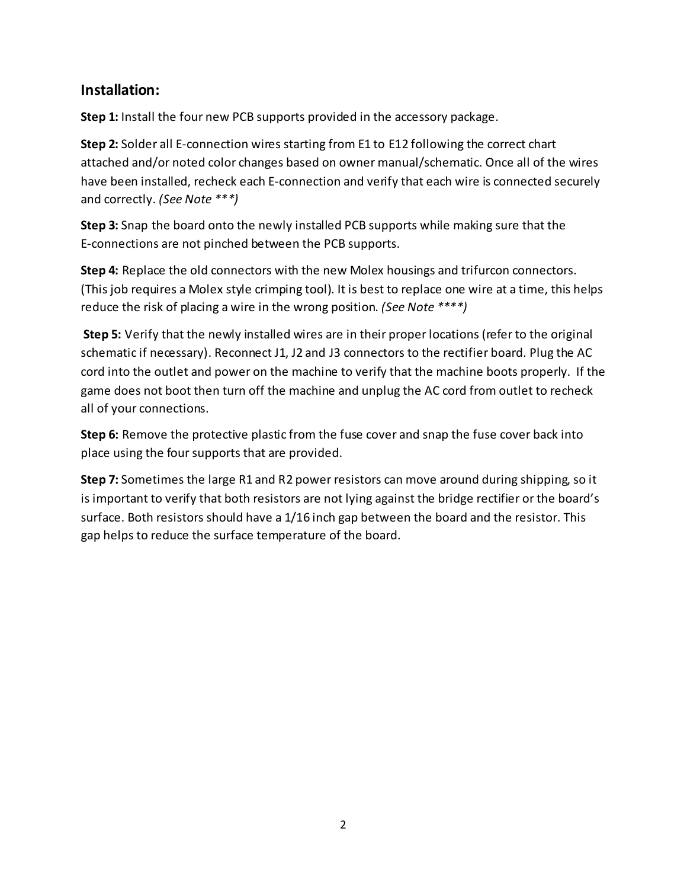#### **Installation:**

**Step 1:** Install the four new PCB supports provided in the accessory package.

**Step 2:** Solder all E-connection wires starting from E1 to E12 following the correct chart attached and/or noted color changes based on owner manual/schematic. Once all of the wires have been installed, recheck each E-connection and verify that each wire is connected securely and correctly. *(See Note \*\*\*)*

**Step 3:** Snap the board onto the newly installed PCB supports while making sure that the E-connections are not pinched between the PCB supports.

**Step 4:** Replace the old connectors with the new Molex housings and trifurcon connectors. (This job requires a Molex style crimping tool). It is best to replace one wire at a time, this helps reduce the risk of placing a wire in the wrong position. *(See Note \*\*\*\*)*

**Step 5:** Verify that the newly installed wires are in their proper locations (refer to the original schematic if necessary). Reconnect J1, J2 and J3 connectors to the rectifier board. Plug the AC cord into the outlet and power on the machine to verify that the machine boots properly. If the game does not boot then turn off the machine and unplug the AC cord from outlet to recheck all of your connections.

**Step 6:** Remove the protective plastic from the fuse cover and snap the fuse cover back into place using the four supports that are provided.

**Step 7:** Sometimes the large R1 and R2 power resistors can move around during shipping, so it is important to verify that both resistors are not lying against the bridge rectifier or the board's surface. Both resistors should have a 1/16 inch gap between the board and the resistor. This gap helps to reduce the surface temperature of the board.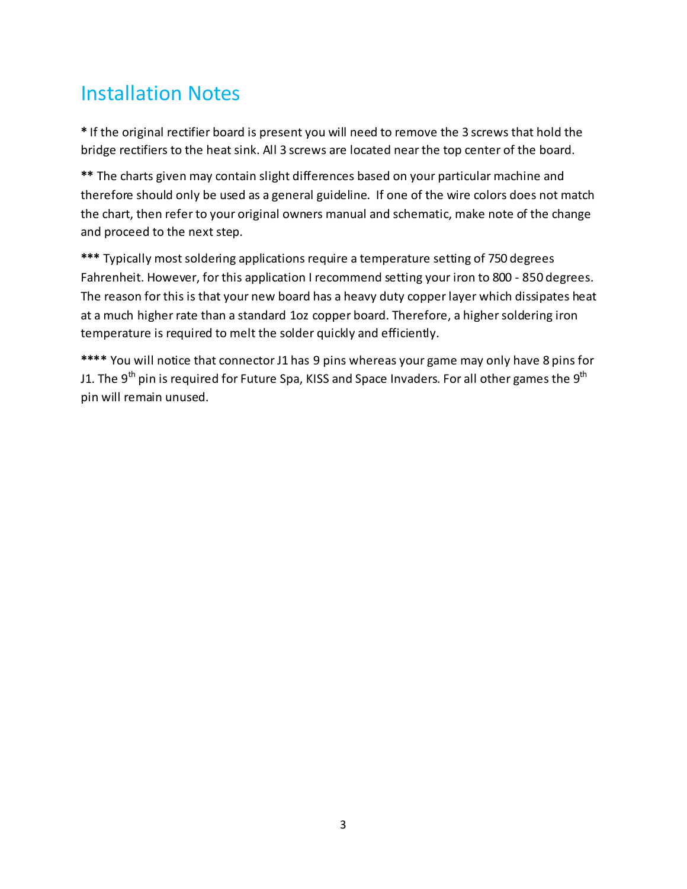### Installation Notes

**\*** If the original rectifier board is present you will need to remove the 3 screws that hold the bridge rectifiers to the heat sink. All 3 screws are located near the top center of the board.

**\*\*** The charts given may contain slight differences based on your particular machine and therefore should only be used as a general guideline. If one of the wire colors does not match the chart, then refer to your original owners manual and schematic, make note of the change and proceed to the next step.

**\*\*\*** Typically most soldering applications require a temperature setting of 750 degrees Fahrenheit. However, for this application I recommend setting your iron to 800 - 850 degrees. The reason for this is that your new board has a heavy duty copper layer which dissipates heat at a much higher rate than a standard 1oz copper board. Therefore, a higher soldering iron temperature is required to melt the solder quickly and efficiently.

**\*\*\*\*** You will notice that connector J1 has 9 pins whereas your game may only have 8 pins for J1. The 9<sup>th</sup> pin is required for Future Spa, KISS and Space Invaders. For all other games the 9<sup>th</sup> pin will remain unused.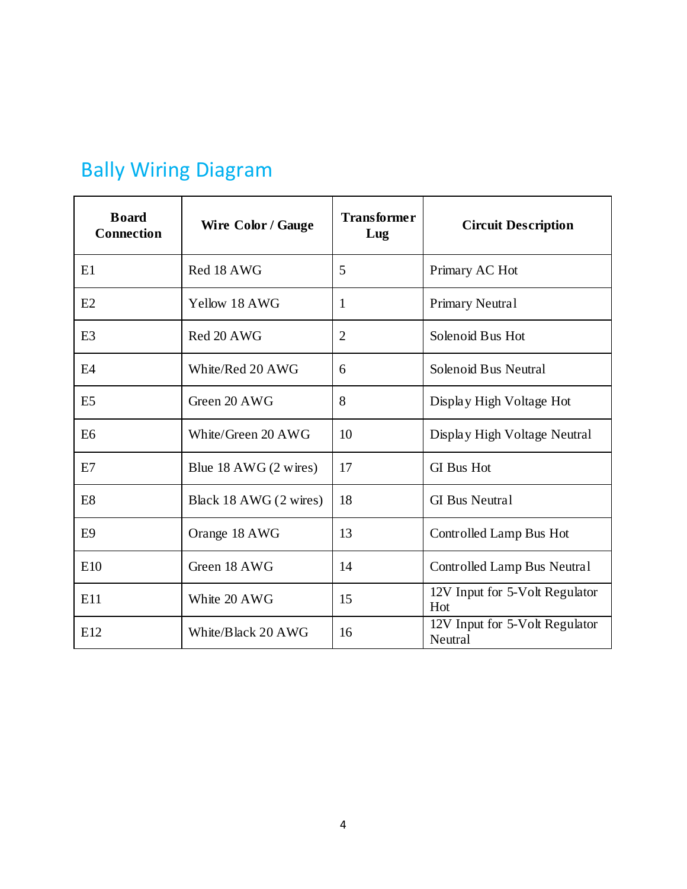| <b>Board</b><br><b>Connection</b> | <b>Wire Color / Gauge</b>         | <b>Transformer</b><br>Lug | <b>Circuit Description</b>                |
|-----------------------------------|-----------------------------------|---------------------------|-------------------------------------------|
| E1                                | Red 18 AWG                        | 5                         | Primary AC Hot                            |
| E2                                | Yellow 18 AWG                     | 1                         | <b>Primary Neutral</b>                    |
| E <sub>3</sub>                    | Red 20 AWG                        | $\overline{2}$            | Solenoid Bus Hot                          |
| E <sub>4</sub>                    | White/Red 20 AWG                  | 6                         | Solenoid Bus Neutral                      |
| E <sub>5</sub>                    | Green 20 AWG                      | 8                         | Display High Voltage Hot                  |
| E <sub>6</sub>                    | White/Green 20 AWG                | 10                        | Display High Voltage Neutral              |
| E7                                | Blue $18$ AWG $(2 \text{ wires})$ | 17                        | <b>GI</b> Bus Hot                         |
| E <sub>8</sub>                    | Black 18 AWG (2 wires)            | 18                        | <b>GI</b> Bus Neutral                     |
| E <sub>9</sub>                    | Orange 18 AWG                     | 13                        | Controlled Lamp Bus Hot                   |
| E10                               | Green 18 AWG                      | 14                        | Controlled Lamp Bus Neutral               |
| E11                               | White 20 AWG                      | 15                        | 12V Input for 5-Volt Regulator<br>Hot     |
| E12                               | White/Black 20 AWG                | 16                        | 12V Input for 5-Volt Regulator<br>Neutral |

## Bally Wiring Diagram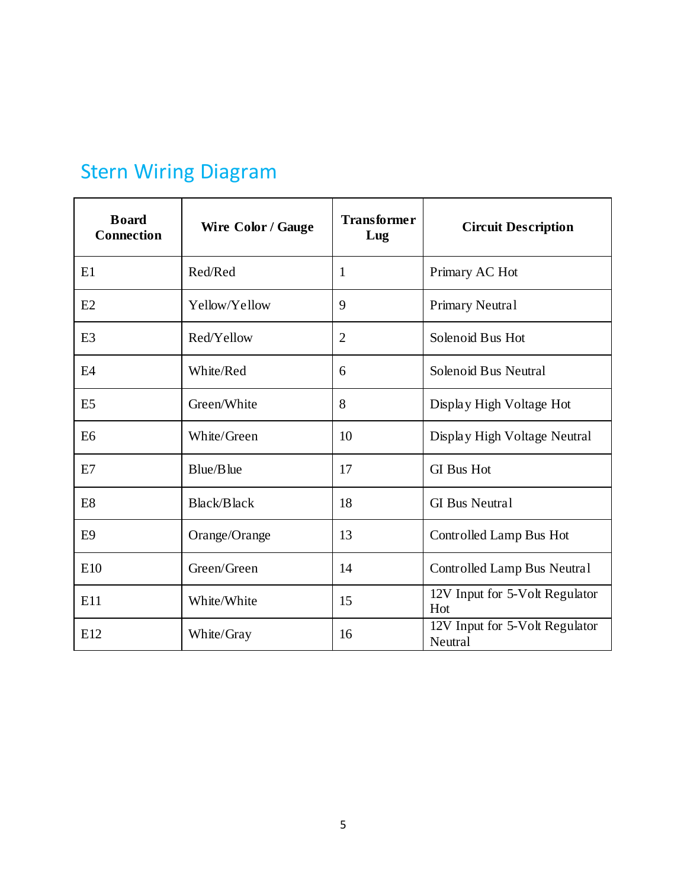| <b>Board</b><br><b>Connection</b> | <b>Wire Color / Gauge</b> | <b>Transformer</b><br>Lug | <b>Circuit Description</b>                |
|-----------------------------------|---------------------------|---------------------------|-------------------------------------------|
| E1                                | Red/Red                   | $\mathbf{1}$              | Primary AC Hot                            |
| E2                                | Yellow/Yellow             | 9                         | Primary Neutral                           |
| E <sub>3</sub>                    | Red/Yellow                | $\overline{2}$            | Solenoid Bus Hot                          |
| E <sub>4</sub>                    | White/Red                 | 6                         | Solenoid Bus Neutral                      |
| E <sub>5</sub>                    | Green/White               | 8                         | Display High Voltage Hot                  |
| E <sub>6</sub>                    | White/Green               | 10                        | Display High Voltage Neutral              |
| E7                                | Blue/Blue                 | 17                        | <b>GI</b> Bus Hot                         |
| E <sub>8</sub>                    | <b>Black/Black</b>        | 18                        | <b>GI</b> Bus Neutral                     |
| E <sub>9</sub>                    | Orange/Orange             | 13                        | Controlled Lamp Bus Hot                   |
| E10                               | Green/Green               | 14                        | Controlled Lamp Bus Neutral               |
| E11                               | White/White               | 15                        | 12V Input for 5-Volt Regulator<br>Hot     |
| E12                               | White/Gray                | 16                        | 12V Input for 5-Volt Regulator<br>Neutral |

# Stern Wiring Diagram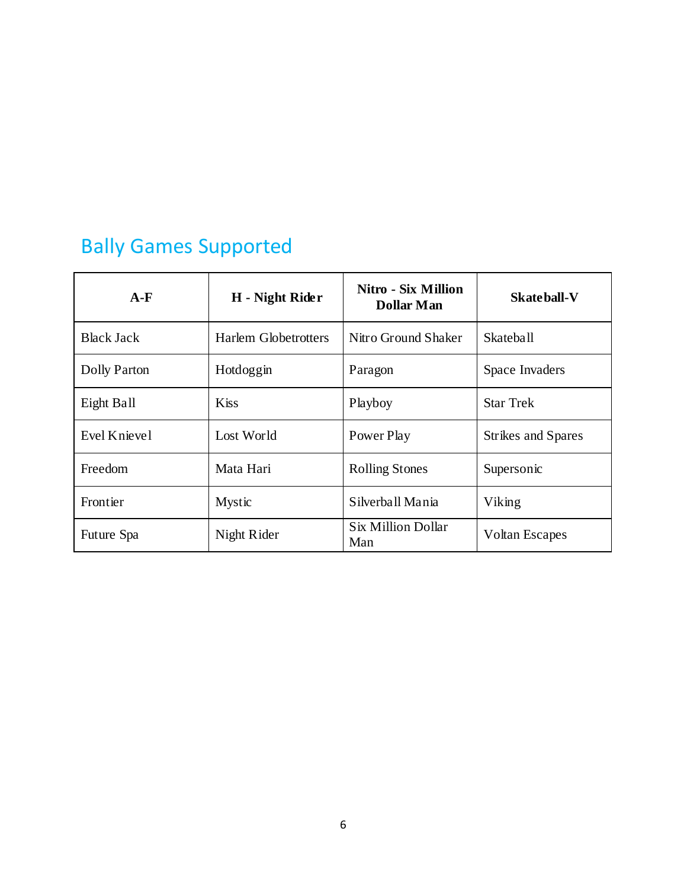# Bally Games Supported

| $A-F$             | H - Night Rider             | Nitro - Six Million<br><b>Dollar Man</b> | Skateball-V               |
|-------------------|-----------------------------|------------------------------------------|---------------------------|
| <b>Black Jack</b> | <b>Harlem Globetrotters</b> | Nitro Ground Shaker                      | <b>Skateball</b>          |
| Dolly Parton      | Hotdoggin                   | Paragon                                  | Space Invaders            |
| Eight Ball        | <b>Kiss</b>                 | Playboy                                  | <b>Star Trek</b>          |
| Evel Knievel      | Lost World                  | Power Play                               | <b>Strikes and Spares</b> |
| Freedom           | Mata Hari                   | <b>Rolling Stones</b>                    | Supersonic                |
| Frontier          | <b>Mystic</b>               | Silverball Mania                         | Viking                    |
| Future Spa        | Night Rider                 | Six Million Dollar<br>Man                | <b>Voltan Escapes</b>     |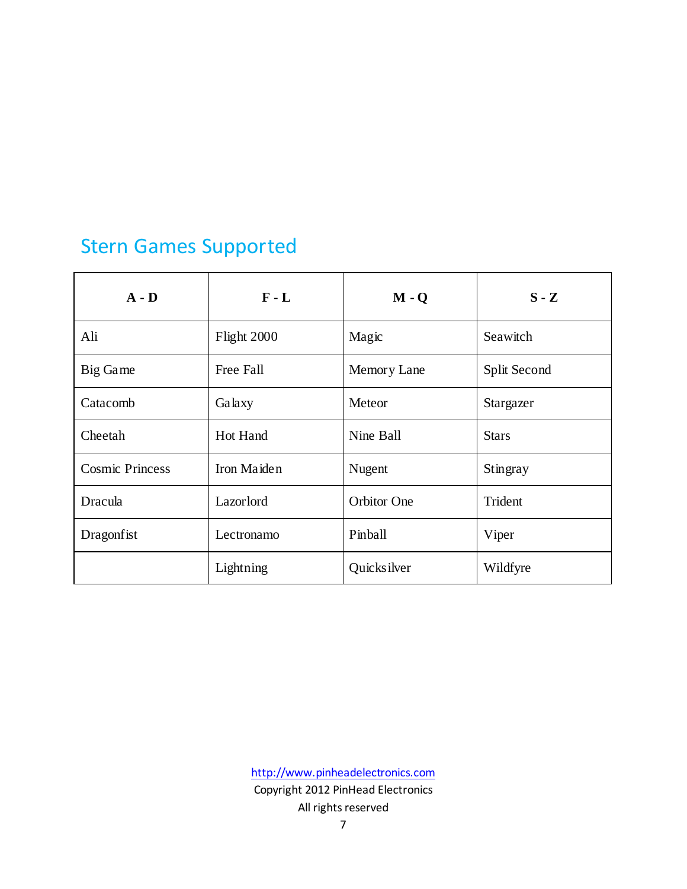## Stern Games Supported

| $A - D$                | $F - L$     | $M - Q$            | $S - Z$      |
|------------------------|-------------|--------------------|--------------|
| Ali                    | Flight 2000 | Magic              | Seawitch     |
| Big Game               | Free Fall   | Memory Lane        | Split Second |
| Catacomb               | Galaxy      | Meteor             | Stargazer    |
| Cheetah                | Hot Hand    | Nine Ball          | <b>Stars</b> |
| <b>Cosmic Princess</b> | Iron Maiden | Nugent             | Stingray     |
| Dracula                | Lazorlord   | <b>Orbitor One</b> | Trident      |
| Dragonfist             | Lectronamo  | Pinball            | Viper        |
|                        | Lightning   | Quicksilver        | Wildfyre     |

[http://www.pinheadelectronics.com](http://www.pinheadelectronics.com/) Copyright 2012 PinHead Electronics All rights reserved